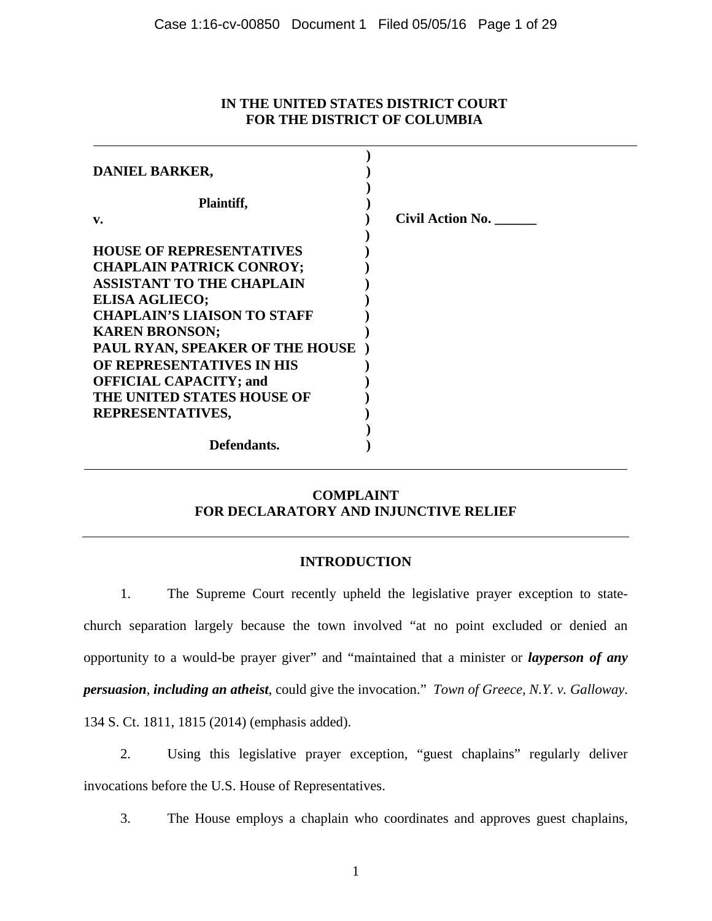## **IN THE UNITED STATES DISTRICT COURT FOR THE DISTRICT OF COLUMBIA**

| <b>DANIEL BARKER,</b>              |                         |
|------------------------------------|-------------------------|
| Plaintiff,                         |                         |
| v.                                 | <b>Civil Action No.</b> |
| <b>HOUSE OF REPRESENTATIVES</b>    |                         |
| <b>CHAPLAIN PATRICK CONROY;</b>    |                         |
| <b>ASSISTANT TO THE CHAPLAIN</b>   |                         |
| <b>ELISA AGLIECO;</b>              |                         |
| <b>CHAPLAIN'S LIAISON TO STAFF</b> |                         |
| <b>KAREN BRONSON;</b>              |                         |
| PAUL RYAN, SPEAKER OF THE HOUSE    |                         |
| OF REPRESENTATIVES IN HIS          |                         |
| <b>OFFICIAL CAPACITY; and</b>      |                         |
| THE UNITED STATES HOUSE OF         |                         |
| REPRESENTATIVES,                   |                         |
|                                    |                         |
| Defendants.                        |                         |

# **COMPLAINT FOR DECLARATORY AND INJUNCTIVE RELIEF**

## **INTRODUCTION**

1. The Supreme Court recently upheld the legislative prayer exception to statechurch separation largely because the town involved "at no point excluded or denied an opportunity to a would-be prayer giver" and "maintained that a minister or *layperson of any persuasion*, *including an atheist*, could give the invocation." *Town of Greece, N.Y. v. Galloway*. 134 S. Ct. 1811, 1815 (2014) (emphasis added).

2. Using this legislative prayer exception, "guest chaplains" regularly deliver invocations before the U.S. House of Representatives.

3. The House employs a chaplain who coordinates and approves guest chaplains,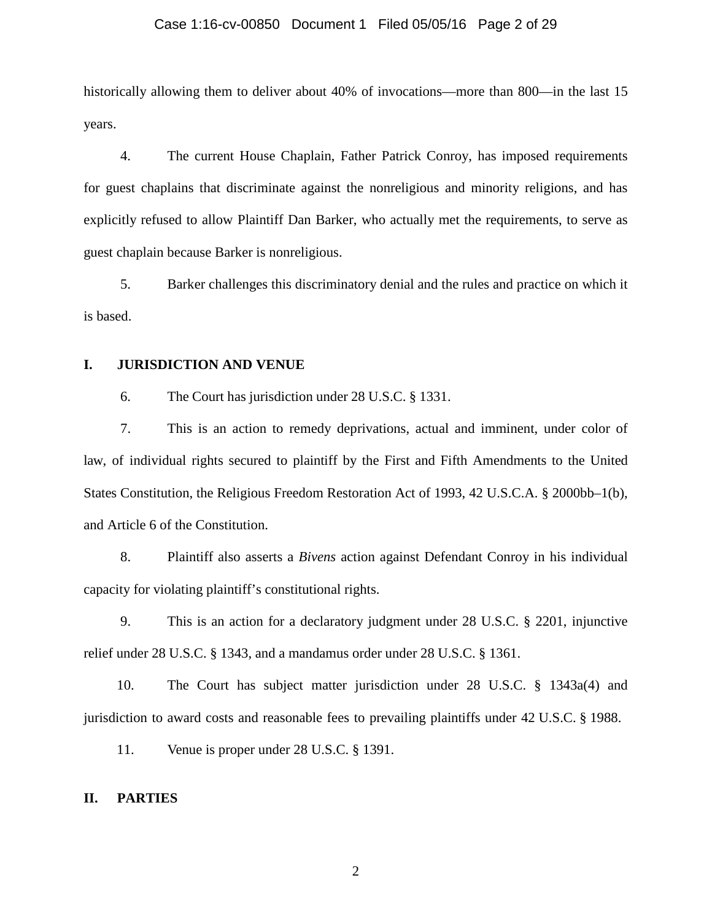#### Case 1:16-cv-00850 Document 1 Filed 05/05/16 Page 2 of 29

historically allowing them to deliver about 40% of invocations—more than 800—in the last 15 years.

4. The current House Chaplain, Father Patrick Conroy, has imposed requirements for guest chaplains that discriminate against the nonreligious and minority religions, and has explicitly refused to allow Plaintiff Dan Barker, who actually met the requirements, to serve as guest chaplain because Barker is nonreligious.

5. Barker challenges this discriminatory denial and the rules and practice on which it is based.

## **I. JURISDICTION AND VENUE**

6. The Court has jurisdiction under 28 U.S.C. § 1331.

7. This is an action to remedy deprivations, actual and imminent, under color of law, of individual rights secured to plaintiff by the First and Fifth Amendments to the United States Constitution, the Religious Freedom Restoration Act of 1993, 42 U.S.C.A. § 2000bb–1(b), and Article 6 of the Constitution.

8. Plaintiff also asserts a *Bivens* action against Defendant Conroy in his individual capacity for violating plaintiff's constitutional rights.

9. This is an action for a declaratory judgment under 28 U.S.C. § 2201, injunctive relief under 28 U.S.C. § 1343, and a mandamus order under 28 U.S.C. § 1361.

10. The Court has subject matter jurisdiction under 28 U.S.C. § 1343a(4) and jurisdiction to award costs and reasonable fees to prevailing plaintiffs under 42 U.S.C. § 1988.

11. Venue is proper under 28 U.S.C. § 1391.

#### **II. PARTIES**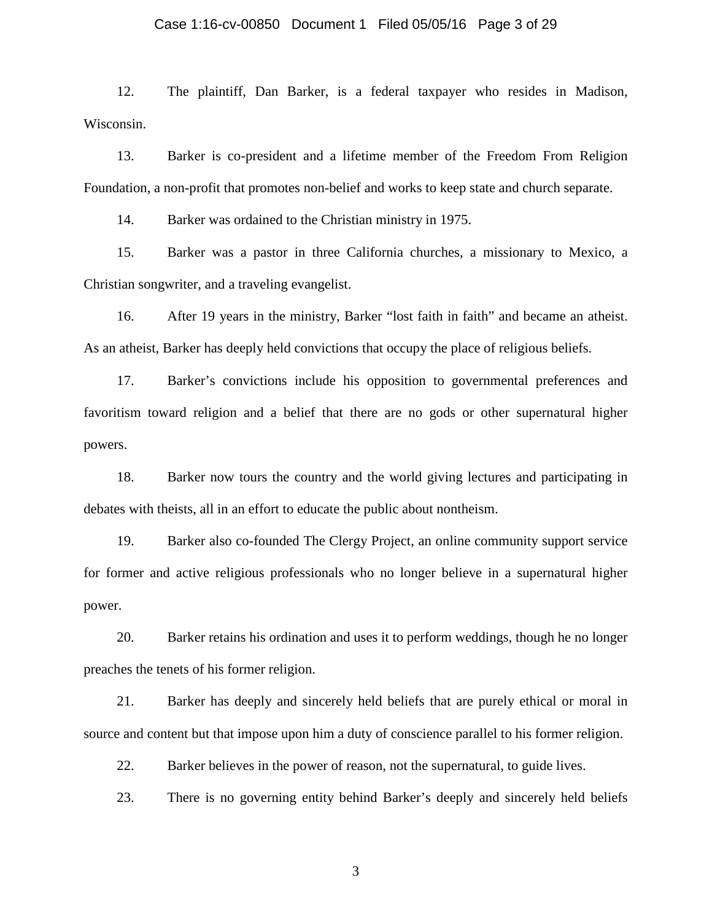#### Case 1:16-cv-00850 Document 1 Filed 05/05/16 Page 3 of 29

12. The plaintiff, Dan Barker, is a federal taxpayer who resides in Madison, Wisconsin.

13. Barker is co-president and a lifetime member of the Freedom From Religion Foundation, a non-profit that promotes non-belief and works to keep state and church separate.

14. Barker was ordained to the Christian ministry in 1975.

15. Barker was a pastor in three California churches, a missionary to Mexico, a Christian songwriter, and a traveling evangelist.

16. After 19 years in the ministry, Barker "lost faith in faith" and became an atheist. As an atheist, Barker has deeply held convictions that occupy the place of religious beliefs.

17. Barker's convictions include his opposition to governmental preferences and favoritism toward religion and a belief that there are no gods or other supernatural higher powers.

18. Barker now tours the country and the world giving lectures and participating in debates with theists, all in an effort to educate the public about nontheism.

19. Barker also co-founded The Clergy Project, an online community support service for former and active religious professionals who no longer believe in a supernatural higher power.

20. Barker retains his ordination and uses it to perform weddings, though he no longer preaches the tenets of his former religion.

21. Barker has deeply and sincerely held beliefs that are purely ethical or moral in source and content but that impose upon him a duty of conscience parallel to his former religion.

22. Barker believes in the power of reason, not the supernatural, to guide lives.

23. There is no governing entity behind Barker's deeply and sincerely held beliefs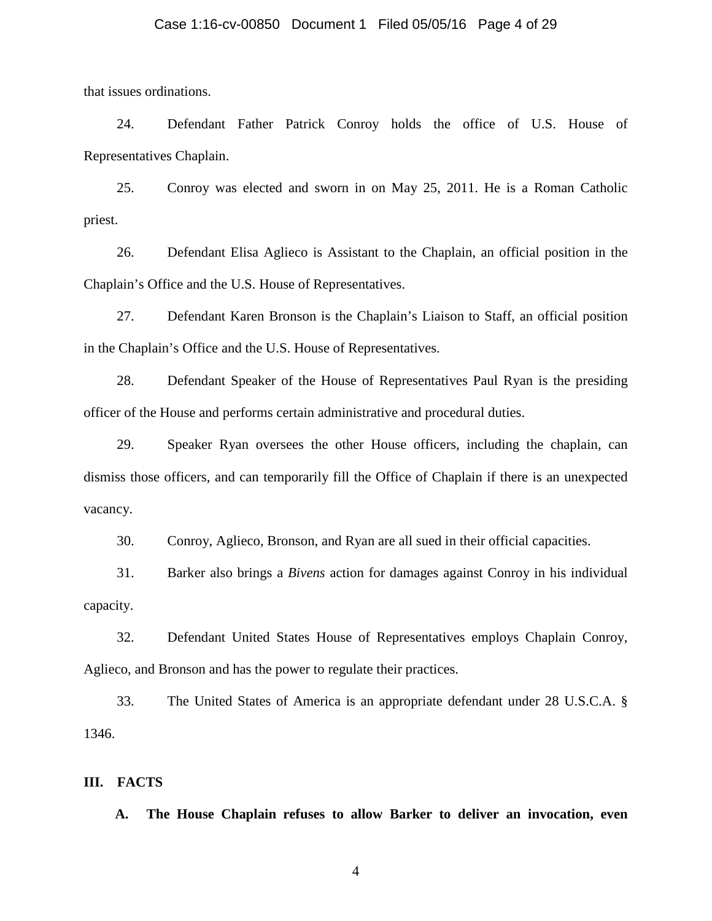#### Case 1:16-cv-00850 Document 1 Filed 05/05/16 Page 4 of 29

that issues ordinations.

24. Defendant Father Patrick Conroy holds the office of U.S. House of Representatives Chaplain.

25. Conroy was elected and sworn in on May 25, 2011. He is a Roman Catholic priest.

26. Defendant Elisa Aglieco is Assistant to the Chaplain, an official position in the Chaplain's Office and the U.S. House of Representatives.

27. Defendant Karen Bronson is the Chaplain's Liaison to Staff, an official position in the Chaplain's Office and the U.S. House of Representatives.

28. Defendant Speaker of the House of Representatives Paul Ryan is the presiding officer of the House and performs certain administrative and procedural duties.

29. Speaker Ryan oversees the other House officers, including the chaplain, can dismiss those officers, and can temporarily fill the Office of Chaplain if there is an unexpected vacancy.

30. Conroy, Aglieco, Bronson, and Ryan are all sued in their official capacities.

31. Barker also brings a *Bivens* action for damages against Conroy in his individual capacity.

32. Defendant United States House of Representatives employs Chaplain Conroy, Aglieco, and Bronson and has the power to regulate their practices.

33. The United States of America is an appropriate defendant under 28 U.S.C.A. § 1346.

## **III. FACTS**

**A. The House Chaplain refuses to allow Barker to deliver an invocation, even**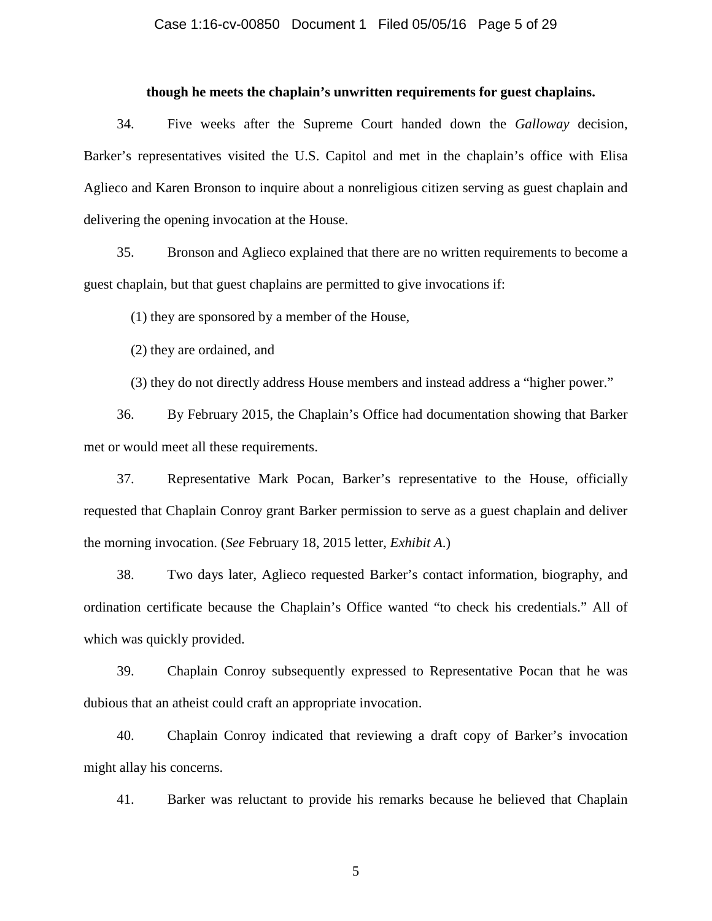#### Case 1:16-cv-00850 Document 1 Filed 05/05/16 Page 5 of 29

## **though he meets the chaplain's unwritten requirements for guest chaplains.**

34. Five weeks after the Supreme Court handed down the *Galloway* decision, Barker's representatives visited the U.S. Capitol and met in the chaplain's office with Elisa Aglieco and Karen Bronson to inquire about a nonreligious citizen serving as guest chaplain and delivering the opening invocation at the House.

35. Bronson and Aglieco explained that there are no written requirements to become a guest chaplain, but that guest chaplains are permitted to give invocations if:

(1) they are sponsored by a member of the House,

(2) they are ordained, and

(3) they do not directly address House members and instead address a "higher power."

36. By February 2015, the Chaplain's Office had documentation showing that Barker met or would meet all these requirements.

37. Representative Mark Pocan, Barker's representative to the House, officially requested that Chaplain Conroy grant Barker permission to serve as a guest chaplain and deliver the morning invocation. (*See* February 18, 2015 letter, *Exhibit A*.)

38. Two days later, Aglieco requested Barker's contact information, biography, and ordination certificate because the Chaplain's Office wanted "to check his credentials." All of which was quickly provided.

39. Chaplain Conroy subsequently expressed to Representative Pocan that he was dubious that an atheist could craft an appropriate invocation.

40. Chaplain Conroy indicated that reviewing a draft copy of Barker's invocation might allay his concerns.

41. Barker was reluctant to provide his remarks because he believed that Chaplain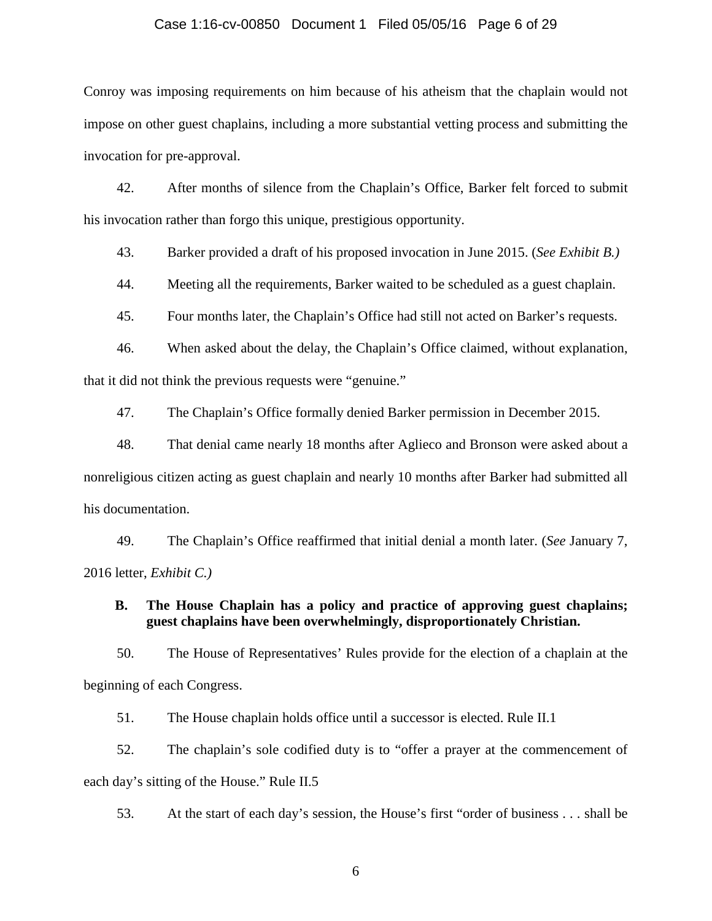#### Case 1:16-cv-00850 Document 1 Filed 05/05/16 Page 6 of 29

Conroy was imposing requirements on him because of his atheism that the chaplain would not impose on other guest chaplains, including a more substantial vetting process and submitting the invocation for pre-approval.

42. After months of silence from the Chaplain's Office, Barker felt forced to submit his invocation rather than forgo this unique, prestigious opportunity.

43. Barker provided a draft of his proposed invocation in June 2015. (*See Exhibit B.)*

44. Meeting all the requirements, Barker waited to be scheduled as a guest chaplain.

45. Four months later, the Chaplain's Office had still not acted on Barker's requests.

46. When asked about the delay, the Chaplain's Office claimed, without explanation, that it did not think the previous requests were "genuine."

47. The Chaplain's Office formally denied Barker permission in December 2015.

48. That denial came nearly 18 months after Aglieco and Bronson were asked about a nonreligious citizen acting as guest chaplain and nearly 10 months after Barker had submitted all his documentation.

49. The Chaplain's Office reaffirmed that initial denial a month later. (*See* January 7, 2016 letter, *Exhibit C.)*

## **B. The House Chaplain has a policy and practice of approving guest chaplains; guest chaplains have been overwhelmingly, disproportionately Christian.**

50. The House of Representatives' Rules provide for the election of a chaplain at the beginning of each Congress.

51. The House chaplain holds office until a successor is elected. Rule II.1

52. The chaplain's sole codified duty is to "offer a prayer at the commencement of each day's sitting of the House." Rule II.5

53. At the start of each day's session, the House's first "order of business . . . shall be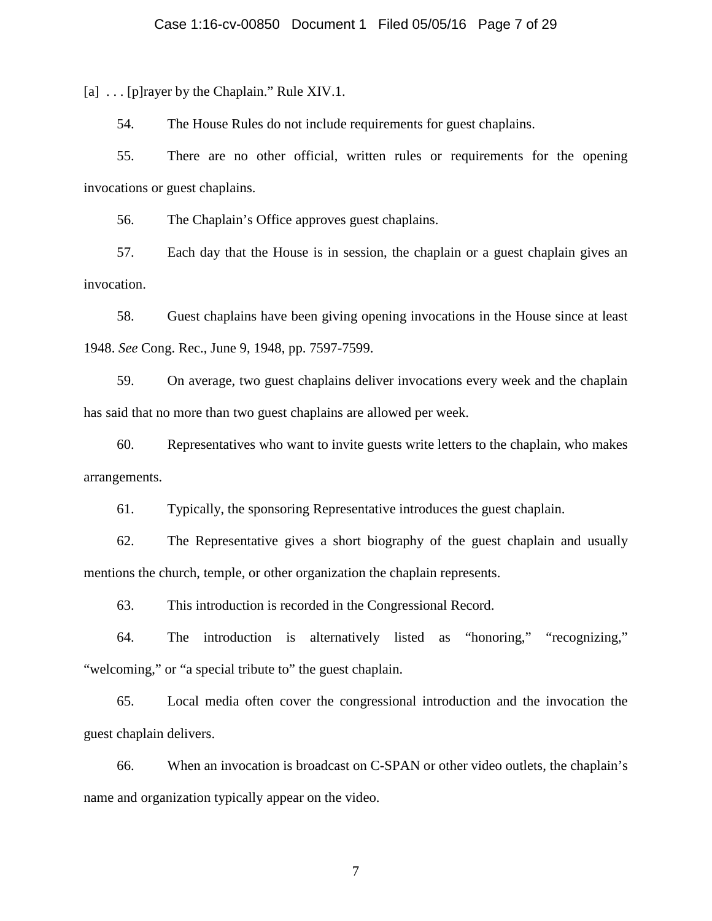[a] ... [p] rayer by the Chaplain." Rule XIV.1.

54. The House Rules do not include requirements for guest chaplains.

55. There are no other official, written rules or requirements for the opening invocations or guest chaplains.

56. The Chaplain's Office approves guest chaplains.

57. Each day that the House is in session, the chaplain or a guest chaplain gives an invocation.

58. Guest chaplains have been giving opening invocations in the House since at least 1948. *See* Cong. Rec., June 9, 1948, pp. 7597-7599.

59. On average, two guest chaplains deliver invocations every week and the chaplain has said that no more than two guest chaplains are allowed per week.

60. Representatives who want to invite guests write letters to the chaplain, who makes arrangements.

61. Typically, the sponsoring Representative introduces the guest chaplain.

62. The Representative gives a short biography of the guest chaplain and usually mentions the church, temple, or other organization the chaplain represents.

63. This introduction is recorded in the Congressional Record.

64. The introduction is alternatively listed as "honoring," "recognizing," "welcoming," or "a special tribute to" the guest chaplain.

65. Local media often cover the congressional introduction and the invocation the guest chaplain delivers.

66. When an invocation is broadcast on C-SPAN or other video outlets, the chaplain's name and organization typically appear on the video.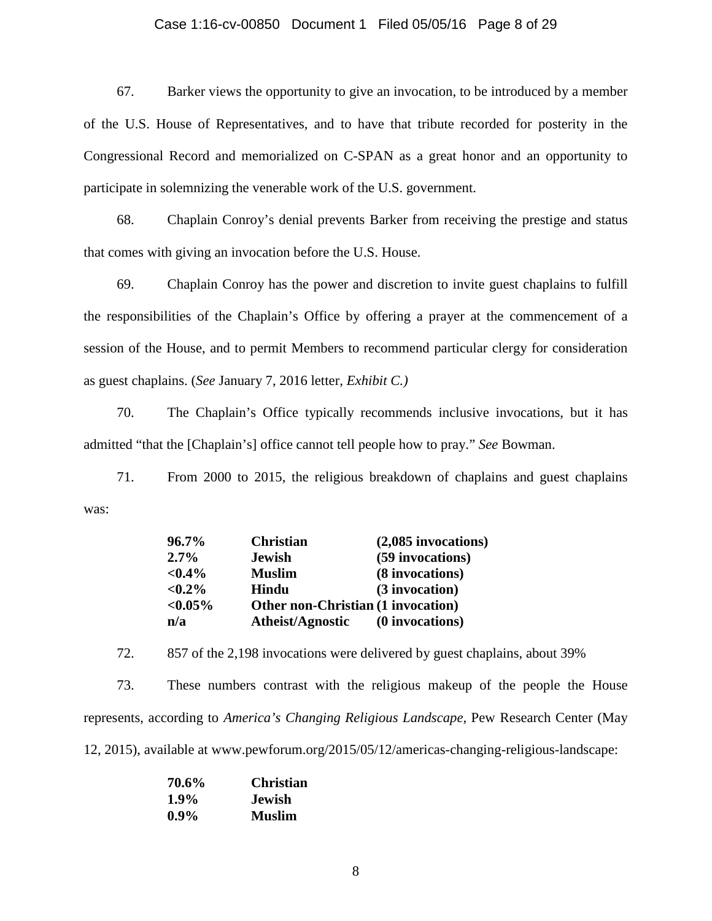#### Case 1:16-cv-00850 Document 1 Filed 05/05/16 Page 8 of 29

67. Barker views the opportunity to give an invocation, to be introduced by a member of the U.S. House of Representatives, and to have that tribute recorded for posterity in the Congressional Record and memorialized on C-SPAN as a great honor and an opportunity to participate in solemnizing the venerable work of the U.S. government.

68. Chaplain Conroy's denial prevents Barker from receiving the prestige and status that comes with giving an invocation before the U.S. House.

69. Chaplain Conroy has the power and discretion to invite guest chaplains to fulfill the responsibilities of the Chaplain's Office by offering a prayer at the commencement of a session of the House, and to permit Members to recommend particular clergy for consideration as guest chaplains. (*See* January 7, 2016 letter, *Exhibit C.)*

70. The Chaplain's Office typically recommends inclusive invocations, but it has admitted "that the [Chaplain's] office cannot tell people how to pray." *See* Bowman.

71. From 2000 to 2015, the religious breakdown of chaplains and guest chaplains was:

| 96.7%       | <b>Christian</b>                   | $(2,085$ invocations) |
|-------------|------------------------------------|-----------------------|
| $2.7\%$     | <b>Jewish</b>                      | (59 invocations)      |
| $< 0.4\%$   | <b>Muslim</b>                      | (8 invocations)       |
| $< 0.2\%$   | <b>Hindu</b>                       | (3 invocation)        |
| ${<}0.05\%$ | Other non-Christian (1 invocation) |                       |
| n/a         | Atheist/Agnostic                   | (0 invocations)       |

72. 857 of the 2,198 invocations were delivered by guest chaplains, about 39% 73. These numbers contrast with the religious makeup of the people the House represents, according to *America's Changing Religious Landscape*, Pew Research Center (May 12, 2015), available at www.pewforum.org/2015/05/12/americas-changing-religious-landscape:

| 70.6%   | Christian     |
|---------|---------------|
| $1.9\%$ | <b>Jewish</b> |
| $0.9\%$ | <b>Muslim</b> |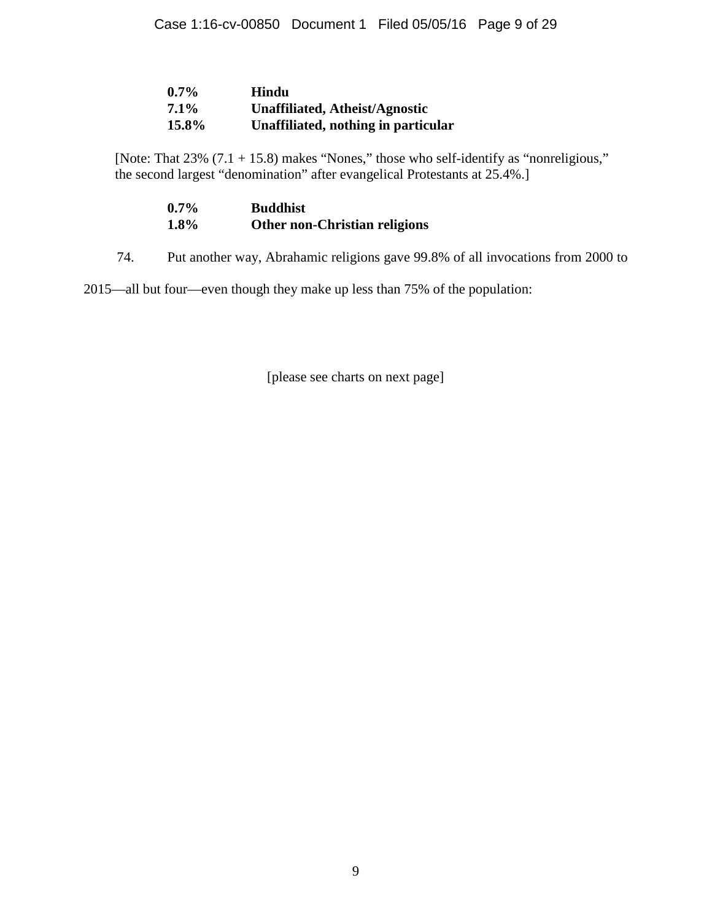| $0.7\%$ | Hindu                               |
|---------|-------------------------------------|
| $7.1\%$ | Unaffiliated, Atheist/Agnostic      |
| 15.8%   | Unaffiliated, nothing in particular |

[Note: That  $23\%$  (7.1 + 15.8) makes "Nones," those who self-identify as "nonreligious," the second largest "denomination" after evangelical Protestants at 25.4%.]

| $0.7\%$ | <b>Buddhist</b>                      |
|---------|--------------------------------------|
| 1.8%    | <b>Other non-Christian religions</b> |

74. Put another way, Abrahamic religions gave 99.8% of all invocations from 2000 to

2015—all but four—even though they make up less than 75% of the population:

[please see charts on next page]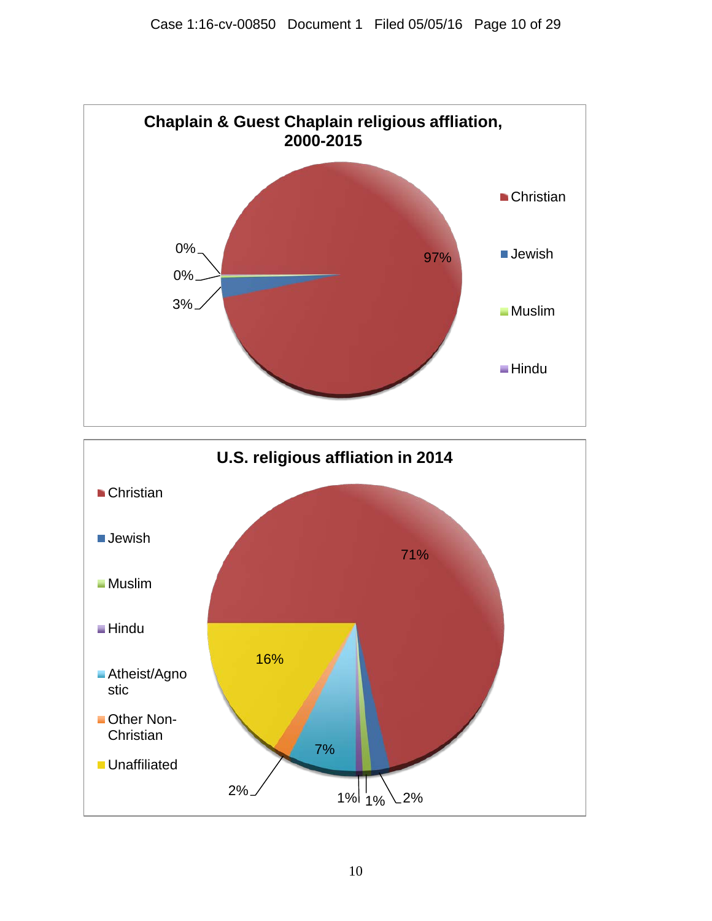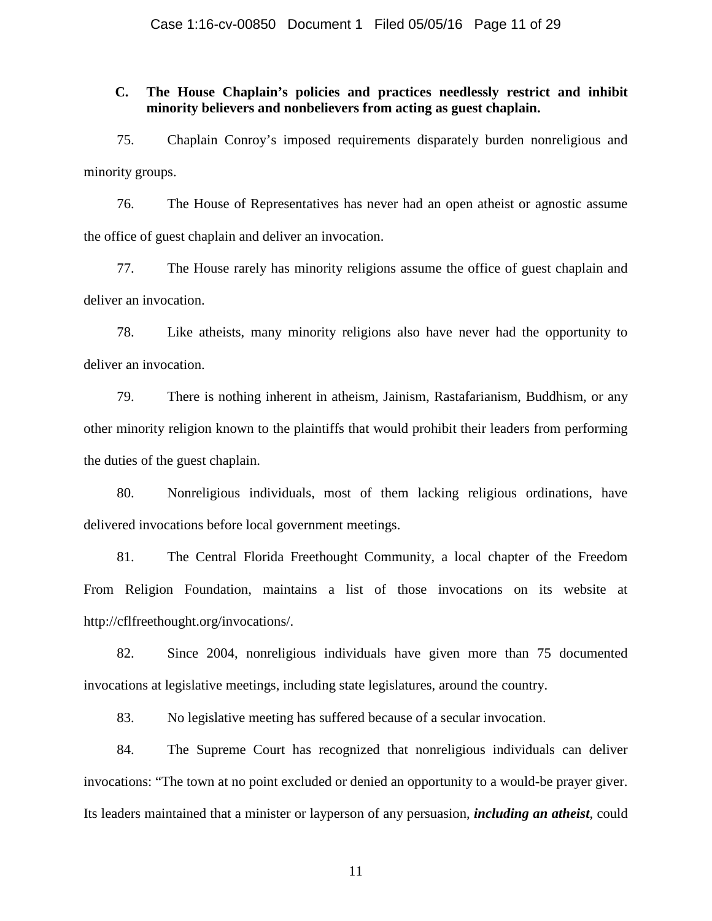## **C. The House Chaplain's policies and practices needlessly restrict and inhibit minority believers and nonbelievers from acting as guest chaplain.**

75. Chaplain Conroy's imposed requirements disparately burden nonreligious and minority groups.

76. The House of Representatives has never had an open atheist or agnostic assume the office of guest chaplain and deliver an invocation.

77. The House rarely has minority religions assume the office of guest chaplain and deliver an invocation.

78. Like atheists, many minority religions also have never had the opportunity to deliver an invocation.

79. There is nothing inherent in atheism, Jainism, Rastafarianism, Buddhism, or any other minority religion known to the plaintiffs that would prohibit their leaders from performing the duties of the guest chaplain.

80. Nonreligious individuals, most of them lacking religious ordinations, have delivered invocations before local government meetings.

81. The Central Florida Freethought Community, a local chapter of the Freedom From Religion Foundation, maintains a list of those invocations on its website at http://cflfreethought.org/invocations/.

82. Since 2004, nonreligious individuals have given more than 75 documented invocations at legislative meetings, including state legislatures, around the country.

83. No legislative meeting has suffered because of a secular invocation.

84. The Supreme Court has recognized that nonreligious individuals can deliver invocations: "The town at no point excluded or denied an opportunity to a would-be prayer giver. Its leaders maintained that a minister or layperson of any persuasion, *including an atheist*, could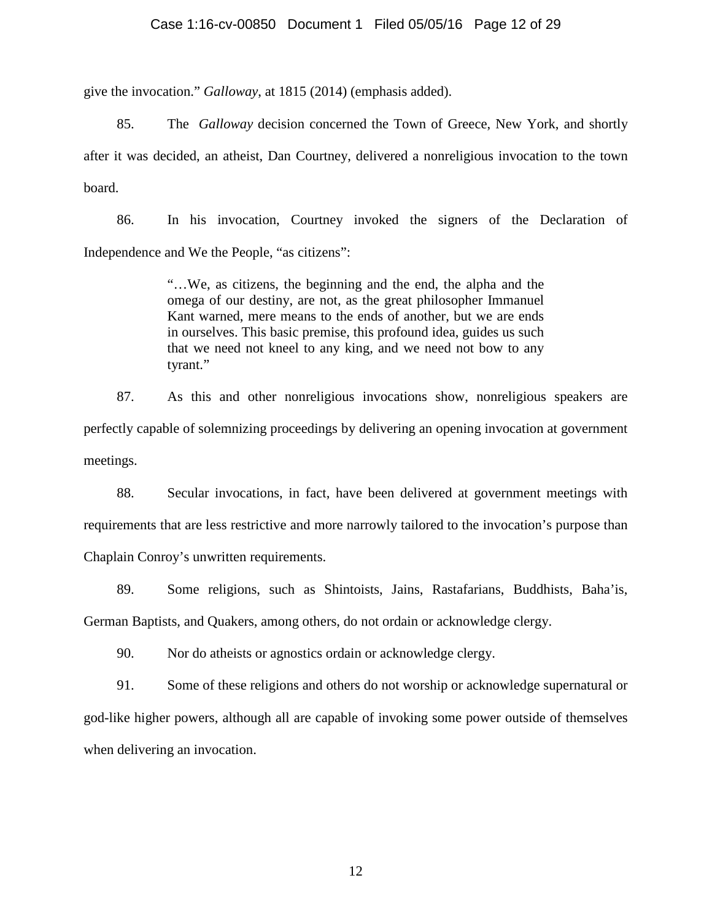## Case 1:16-cv-00850 Document 1 Filed 05/05/16 Page 12 of 29

give the invocation." *Galloway*, at 1815 (2014) (emphasis added).

85. The *Galloway* decision concerned the Town of Greece, New York, and shortly after it was decided, an atheist, Dan Courtney, delivered a nonreligious invocation to the town board.

86. In his invocation, Courtney invoked the signers of the Declaration of Independence and We the People, "as citizens":

> "…We, as citizens, the beginning and the end, the alpha and the omega of our destiny, are not, as the great philosopher Immanuel Kant warned, mere means to the ends of another, but we are ends in ourselves. This basic premise, this profound idea, guides us such that we need not kneel to any king, and we need not bow to any tyrant."

87. As this and other nonreligious invocations show, nonreligious speakers are perfectly capable of solemnizing proceedings by delivering an opening invocation at government meetings.

88. Secular invocations, in fact, have been delivered at government meetings with requirements that are less restrictive and more narrowly tailored to the invocation's purpose than Chaplain Conroy's unwritten requirements.

89. Some religions, such as Shintoists, Jains, Rastafarians, Buddhists, Baha'is, German Baptists, and Quakers, among others, do not ordain or acknowledge clergy.

90. Nor do atheists or agnostics ordain or acknowledge clergy.

91. Some of these religions and others do not worship or acknowledge supernatural or god-like higher powers, although all are capable of invoking some power outside of themselves when delivering an invocation.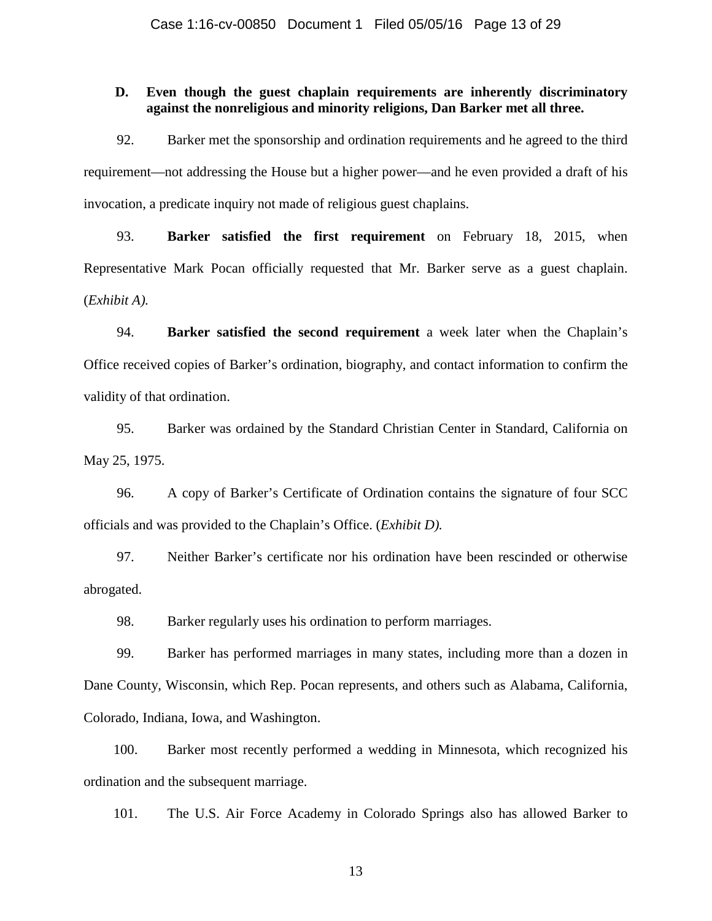## **D. Even though the guest chaplain requirements are inherently discriminatory against the nonreligious and minority religions, Dan Barker met all three.**

92. Barker met the sponsorship and ordination requirements and he agreed to the third requirement—not addressing the House but a higher power—and he even provided a draft of his invocation, a predicate inquiry not made of religious guest chaplains.

93. **Barker satisfied the first requirement** on February 18, 2015, when Representative Mark Pocan officially requested that Mr. Barker serve as a guest chaplain. (*Exhibit A).*

94. **Barker satisfied the second requirement** a week later when the Chaplain's Office received copies of Barker's ordination, biography, and contact information to confirm the validity of that ordination.

95. Barker was ordained by the Standard Christian Center in Standard, California on May 25, 1975.

96. A copy of Barker's Certificate of Ordination contains the signature of four SCC officials and was provided to the Chaplain's Office. (*Exhibit D).*

97. Neither Barker's certificate nor his ordination have been rescinded or otherwise abrogated.

98. Barker regularly uses his ordination to perform marriages.

99. Barker has performed marriages in many states, including more than a dozen in Dane County, Wisconsin, which Rep. Pocan represents, and others such as Alabama, California, Colorado, Indiana, Iowa, and Washington.

100. Barker most recently performed a wedding in Minnesota, which recognized his ordination and the subsequent marriage.

101. The U.S. Air Force Academy in Colorado Springs also has allowed Barker to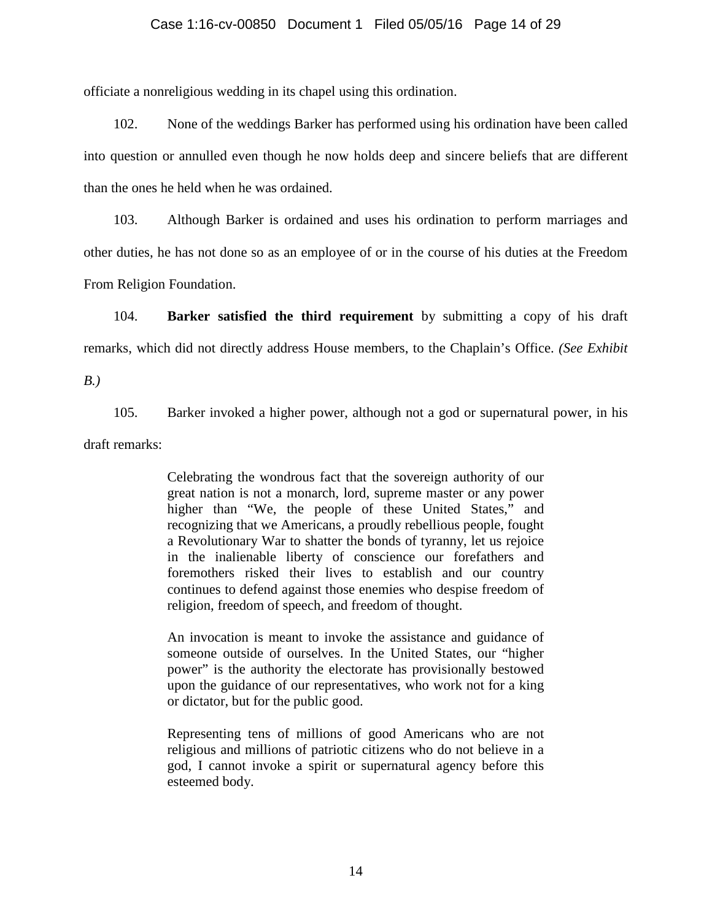## Case 1:16-cv-00850 Document 1 Filed 05/05/16 Page 14 of 29

officiate a nonreligious wedding in its chapel using this ordination.

102. None of the weddings Barker has performed using his ordination have been called into question or annulled even though he now holds deep and sincere beliefs that are different than the ones he held when he was ordained.

103. Although Barker is ordained and uses his ordination to perform marriages and other duties, he has not done so as an employee of or in the course of his duties at the Freedom From Religion Foundation.

104. **Barker satisfied the third requirement** by submitting a copy of his draft remarks, which did not directly address House members, to the Chaplain's Office. *(See Exhibit* 

*B.)*

105. Barker invoked a higher power, although not a god or supernatural power, in his draft remarks:

> Celebrating the wondrous fact that the sovereign authority of our great nation is not a monarch, lord, supreme master or any power higher than "We, the people of these United States," and recognizing that we Americans, a proudly rebellious people, fought a Revolutionary War to shatter the bonds of tyranny, let us rejoice in the inalienable liberty of conscience our forefathers and foremothers risked their lives to establish and our country continues to defend against those enemies who despise freedom of religion, freedom of speech, and freedom of thought.

> An invocation is meant to invoke the assistance and guidance of someone outside of ourselves. In the United States, our "higher power" is the authority the electorate has provisionally bestowed upon the guidance of our representatives, who work not for a king or dictator, but for the public good.

> Representing tens of millions of good Americans who are not religious and millions of patriotic citizens who do not believe in a god, I cannot invoke a spirit or supernatural agency before this esteemed body.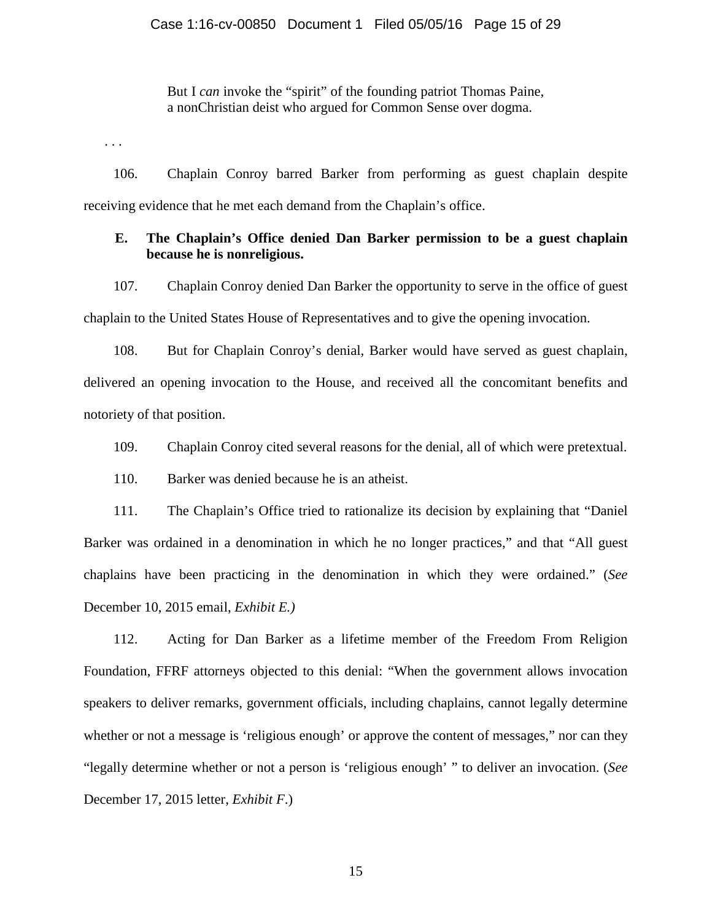But I *can* invoke the "spirit" of the founding patriot Thomas Paine, a nonChristian deist who argued for Common Sense over dogma.

. . .

106. Chaplain Conroy barred Barker from performing as guest chaplain despite receiving evidence that he met each demand from the Chaplain's office.

## **E. The Chaplain's Office denied Dan Barker permission to be a guest chaplain because he is nonreligious.**

107. Chaplain Conroy denied Dan Barker the opportunity to serve in the office of guest chaplain to the United States House of Representatives and to give the opening invocation.

108. But for Chaplain Conroy's denial, Barker would have served as guest chaplain, delivered an opening invocation to the House, and received all the concomitant benefits and notoriety of that position.

109. Chaplain Conroy cited several reasons for the denial, all of which were pretextual.

110. Barker was denied because he is an atheist.

111. The Chaplain's Office tried to rationalize its decision by explaining that "Daniel Barker was ordained in a denomination in which he no longer practices," and that "All guest chaplains have been practicing in the denomination in which they were ordained." (*See*  December 10, 2015 email, *Exhibit E.)*

112. Acting for Dan Barker as a lifetime member of the Freedom From Religion Foundation, FFRF attorneys objected to this denial: "When the government allows invocation speakers to deliver remarks, government officials, including chaplains, cannot legally determine whether or not a message is 'religious enough' or approve the content of messages," nor can they "legally determine whether or not a person is 'religious enough' " to deliver an invocation. (*See*  December 17, 2015 letter, *Exhibit F*.)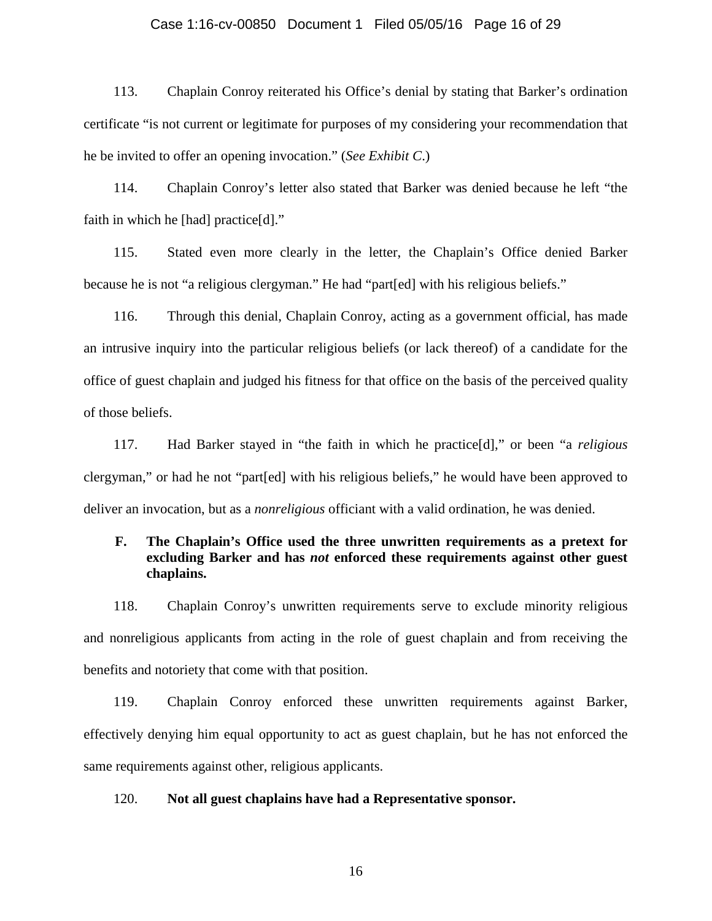#### Case 1:16-cv-00850 Document 1 Filed 05/05/16 Page 16 of 29

113. Chaplain Conroy reiterated his Office's denial by stating that Barker's ordination certificate "is not current or legitimate for purposes of my considering your recommendation that he be invited to offer an opening invocation." (*See Exhibit C*.)

114. Chaplain Conroy's letter also stated that Barker was denied because he left "the faith in which he [had] practice[d]."

115. Stated even more clearly in the letter, the Chaplain's Office denied Barker because he is not "a religious clergyman." He had "part[ed] with his religious beliefs."

116. Through this denial, Chaplain Conroy, acting as a government official, has made an intrusive inquiry into the particular religious beliefs (or lack thereof) of a candidate for the office of guest chaplain and judged his fitness for that office on the basis of the perceived quality of those beliefs.

117. Had Barker stayed in "the faith in which he practice[d]," or been "a *religious*  clergyman," or had he not "part[ed] with his religious beliefs," he would have been approved to deliver an invocation, but as a *nonreligious* officiant with a valid ordination, he was denied.

## **F. The Chaplain's Office used the three unwritten requirements as a pretext for excluding Barker and has** *not* **enforced these requirements against other guest chaplains.**

118. Chaplain Conroy's unwritten requirements serve to exclude minority religious and nonreligious applicants from acting in the role of guest chaplain and from receiving the benefits and notoriety that come with that position.

119. Chaplain Conroy enforced these unwritten requirements against Barker, effectively denying him equal opportunity to act as guest chaplain, but he has not enforced the same requirements against other, religious applicants.

## 120. **Not all guest chaplains have had a Representative sponsor.**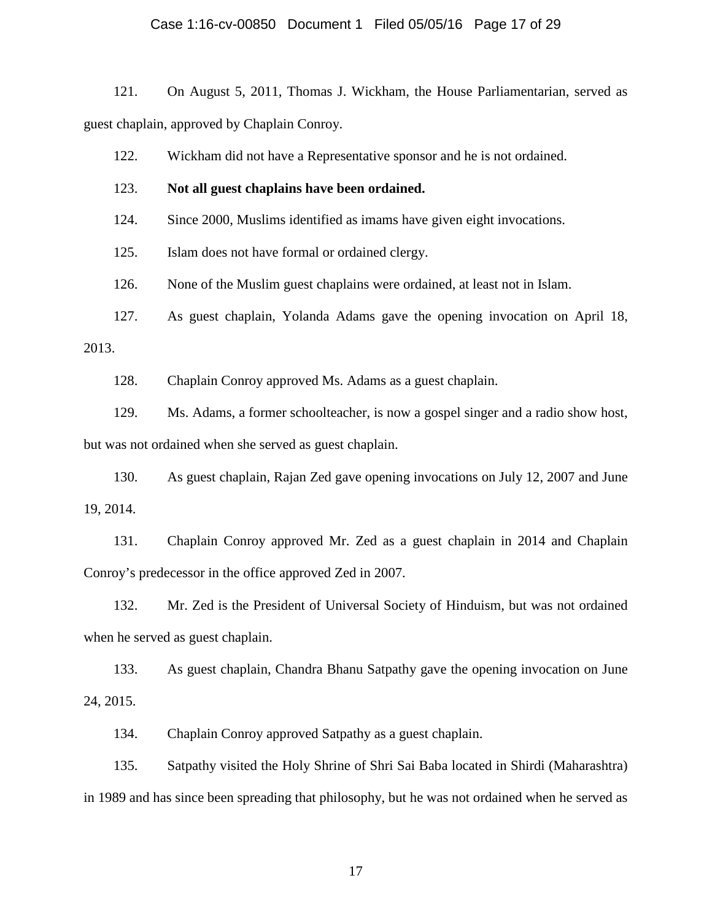#### Case 1:16-cv-00850 Document 1 Filed 05/05/16 Page 17 of 29

121. On August 5, 2011, Thomas J. Wickham, the House Parliamentarian, served as guest chaplain, approved by Chaplain Conroy.

122. Wickham did not have a Representative sponsor and he is not ordained.

- 123. **Not all guest chaplains have been ordained.**
- 124. Since 2000, Muslims identified as imams have given eight invocations.

125. Islam does not have formal or ordained clergy.

126. None of the Muslim guest chaplains were ordained, at least not in Islam.

127. As guest chaplain, Yolanda Adams gave the opening invocation on April 18,

2013.

128. Chaplain Conroy approved Ms. Adams as a guest chaplain.

129. Ms. Adams, a former schoolteacher, is now a gospel singer and a radio show host, but was not ordained when she served as guest chaplain.

130. As guest chaplain, Rajan Zed gave opening invocations on July 12, 2007 and June 19, 2014.

131. Chaplain Conroy approved Mr. Zed as a guest chaplain in 2014 and Chaplain Conroy's predecessor in the office approved Zed in 2007.

132. Mr. Zed is the President of Universal Society of Hinduism, but was not ordained when he served as guest chaplain.

133. As guest chaplain, Chandra Bhanu Satpathy gave the opening invocation on June 24, 2015.

134. Chaplain Conroy approved Satpathy as a guest chaplain.

135. Satpathy visited the Holy Shrine of Shri Sai Baba located in Shirdi (Maharashtra) in 1989 and has since been spreading that philosophy, but he was not ordained when he served as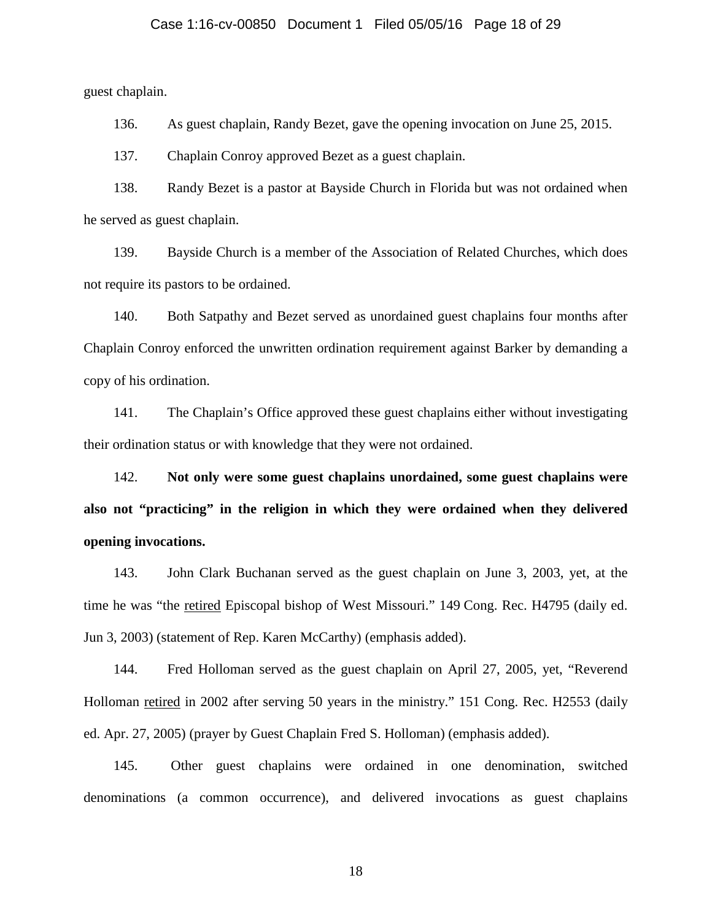#### Case 1:16-cv-00850 Document 1 Filed 05/05/16 Page 18 of 29

guest chaplain.

136. As guest chaplain, Randy Bezet, gave the opening invocation on June 25, 2015.

137. Chaplain Conroy approved Bezet as a guest chaplain.

138. Randy Bezet is a pastor at Bayside Church in Florida but was not ordained when he served as guest chaplain.

139. Bayside Church is a member of the Association of Related Churches, which does not require its pastors to be ordained.

140. Both Satpathy and Bezet served as unordained guest chaplains four months after Chaplain Conroy enforced the unwritten ordination requirement against Barker by demanding a copy of his ordination.

141. The Chaplain's Office approved these guest chaplains either without investigating their ordination status or with knowledge that they were not ordained.

142. **Not only were some guest chaplains unordained, some guest chaplains were also not "practicing" in the religion in which they were ordained when they delivered opening invocations.**

143. John Clark Buchanan served as the guest chaplain on June 3, 2003, yet, at the time he was "the retired Episcopal bishop of West Missouri." 149 Cong. Rec. H4795 (daily ed. Jun 3, 2003) (statement of Rep. Karen McCarthy) (emphasis added).

144. Fred Holloman served as the guest chaplain on April 27, 2005, yet, "Reverend Holloman retired in 2002 after serving 50 years in the ministry." 151 Cong. Rec. H2553 (daily ed. Apr. 27, 2005) (prayer by Guest Chaplain Fred S. Holloman) (emphasis added).

145. Other guest chaplains were ordained in one denomination, switched denominations (a common occurrence), and delivered invocations as guest chaplains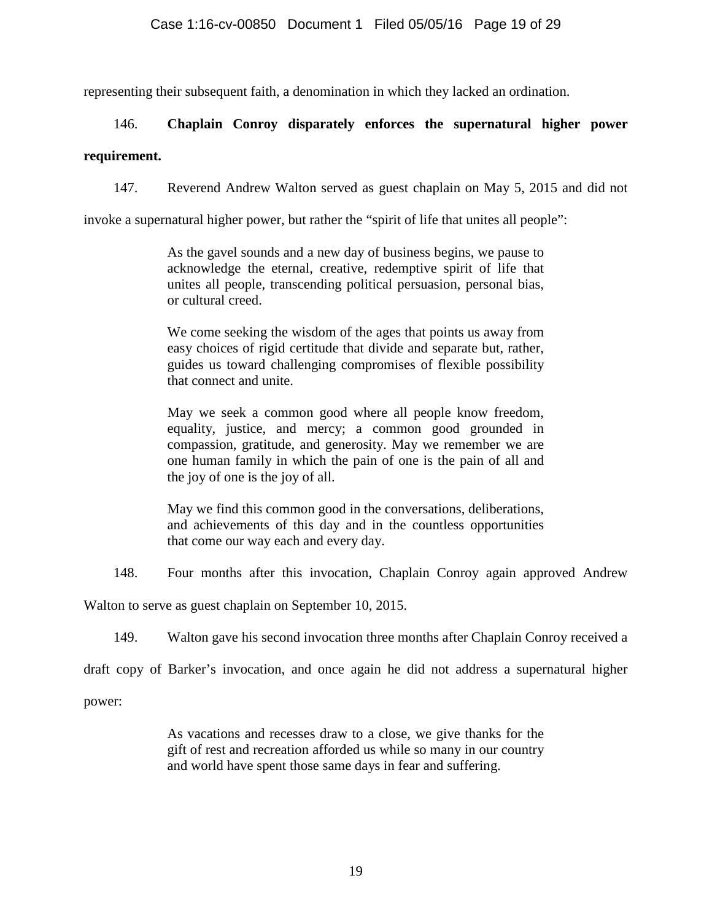representing their subsequent faith, a denomination in which they lacked an ordination.

# 146. **Chaplain Conroy disparately enforces the supernatural higher power**

# **requirement.**

147. Reverend Andrew Walton served as guest chaplain on May 5, 2015 and did not

invoke a supernatural higher power, but rather the "spirit of life that unites all people":

As the gavel sounds and a new day of business begins, we pause to acknowledge the eternal, creative, redemptive spirit of life that unites all people, transcending political persuasion, personal bias, or cultural creed.

We come seeking the wisdom of the ages that points us away from easy choices of rigid certitude that divide and separate but, rather, guides us toward challenging compromises of flexible possibility that connect and unite.

May we seek a common good where all people know freedom, equality, justice, and mercy; a common good grounded in compassion, gratitude, and generosity. May we remember we are one human family in which the pain of one is the pain of all and the joy of one is the joy of all.

May we find this common good in the conversations, deliberations, and achievements of this day and in the countless opportunities that come our way each and every day.

148. Four months after this invocation, Chaplain Conroy again approved Andrew

Walton to serve as guest chaplain on September 10, 2015.

149. Walton gave his second invocation three months after Chaplain Conroy received a

draft copy of Barker's invocation, and once again he did not address a supernatural higher

power:

As vacations and recesses draw to a close, we give thanks for the gift of rest and recreation afforded us while so many in our country and world have spent those same days in fear and suffering.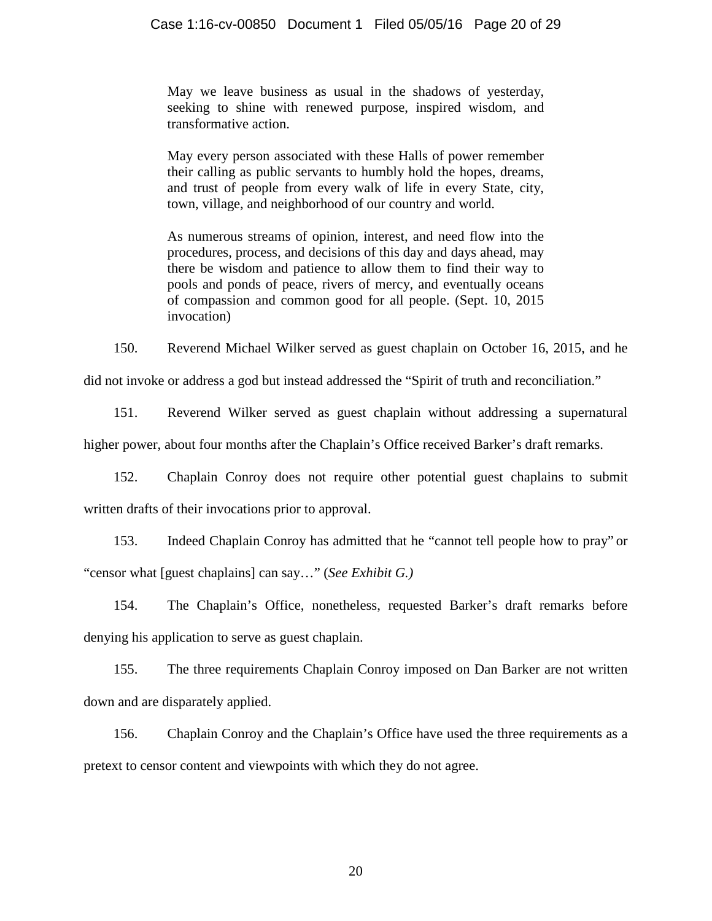May we leave business as usual in the shadows of yesterday, seeking to shine with renewed purpose, inspired wisdom, and transformative action.

May every person associated with these Halls of power remember their calling as public servants to humbly hold the hopes, dreams, and trust of people from every walk of life in every State, city, town, village, and neighborhood of our country and world.

As numerous streams of opinion, interest, and need flow into the procedures, process, and decisions of this day and days ahead, may there be wisdom and patience to allow them to find their way to pools and ponds of peace, rivers of mercy, and eventually oceans of compassion and common good for all people. (Sept. 10, 2015 invocation)

150. Reverend Michael Wilker served as guest chaplain on October 16, 2015, and he did not invoke or address a god but instead addressed the "Spirit of truth and reconciliation."

151. Reverend Wilker served as guest chaplain without addressing a supernatural higher power, about four months after the Chaplain's Office received Barker's draft remarks.

152. Chaplain Conroy does not require other potential guest chaplains to submit written drafts of their invocations prior to approval.

153. Indeed Chaplain Conroy has admitted that he "cannot tell people how to pray" or "censor what [guest chaplains] can say…" (*See Exhibit G.)*

154. The Chaplain's Office, nonetheless, requested Barker's draft remarks before denying his application to serve as guest chaplain.

155. The three requirements Chaplain Conroy imposed on Dan Barker are not written down and are disparately applied.

156. Chaplain Conroy and the Chaplain's Office have used the three requirements as a pretext to censor content and viewpoints with which they do not agree.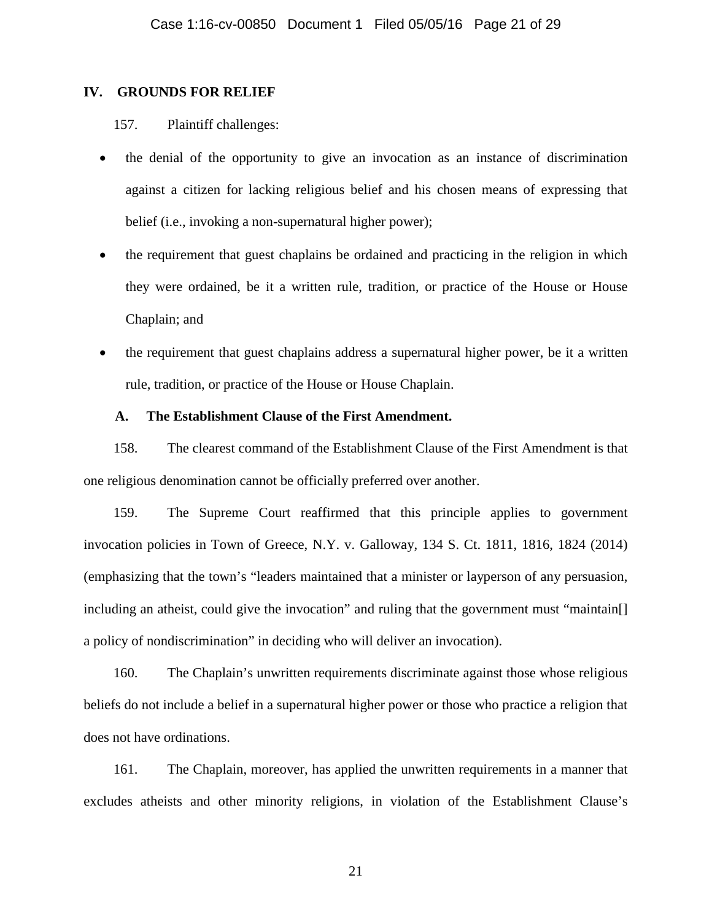## **IV. GROUNDS FOR RELIEF**

## 157. Plaintiff challenges:

- the denial of the opportunity to give an invocation as an instance of discrimination against a citizen for lacking religious belief and his chosen means of expressing that belief (i.e., invoking a non-supernatural higher power);
- the requirement that guest chaplains be ordained and practicing in the religion in which they were ordained, be it a written rule, tradition, or practice of the House or House Chaplain; and
- the requirement that guest chaplains address a supernatural higher power, be it a written rule, tradition, or practice of the House or House Chaplain.

## **A. The Establishment Clause of the First Amendment.**

158. The clearest command of the Establishment Clause of the First Amendment is that one religious denomination cannot be officially preferred over another.

159. The Supreme Court reaffirmed that this principle applies to government invocation policies in Town of Greece, N.Y. v. Galloway, 134 S. Ct. 1811, 1816, 1824 (2014) (emphasizing that the town's "leaders maintained that a minister or layperson of any persuasion, including an atheist, could give the invocation" and ruling that the government must "maintain. a policy of nondiscrimination" in deciding who will deliver an invocation).

160. The Chaplain's unwritten requirements discriminate against those whose religious beliefs do not include a belief in a supernatural higher power or those who practice a religion that does not have ordinations.

161. The Chaplain, moreover, has applied the unwritten requirements in a manner that excludes atheists and other minority religions, in violation of the Establishment Clause's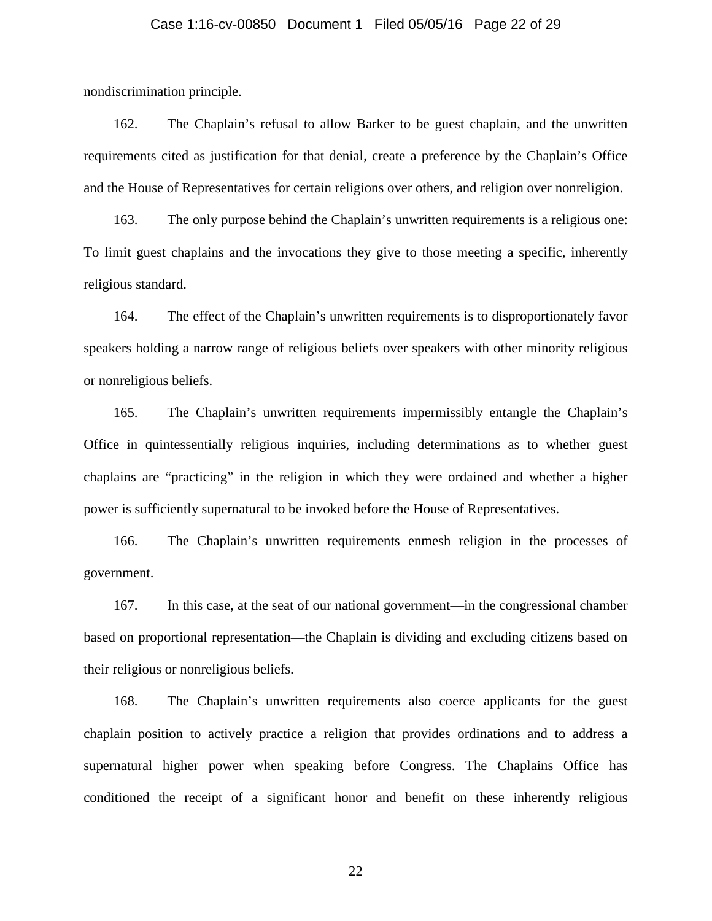#### Case 1:16-cv-00850 Document 1 Filed 05/05/16 Page 22 of 29

nondiscrimination principle.

162. The Chaplain's refusal to allow Barker to be guest chaplain, and the unwritten requirements cited as justification for that denial, create a preference by the Chaplain's Office and the House of Representatives for certain religions over others, and religion over nonreligion.

163. The only purpose behind the Chaplain's unwritten requirements is a religious one: To limit guest chaplains and the invocations they give to those meeting a specific, inherently religious standard.

164. The effect of the Chaplain's unwritten requirements is to disproportionately favor speakers holding a narrow range of religious beliefs over speakers with other minority religious or nonreligious beliefs.

165. The Chaplain's unwritten requirements impermissibly entangle the Chaplain's Office in quintessentially religious inquiries, including determinations as to whether guest chaplains are "practicing" in the religion in which they were ordained and whether a higher power is sufficiently supernatural to be invoked before the House of Representatives.

166. The Chaplain's unwritten requirements enmesh religion in the processes of government.

167. In this case, at the seat of our national government—in the congressional chamber based on proportional representation—the Chaplain is dividing and excluding citizens based on their religious or nonreligious beliefs.

168. The Chaplain's unwritten requirements also coerce applicants for the guest chaplain position to actively practice a religion that provides ordinations and to address a supernatural higher power when speaking before Congress. The Chaplains Office has conditioned the receipt of a significant honor and benefit on these inherently religious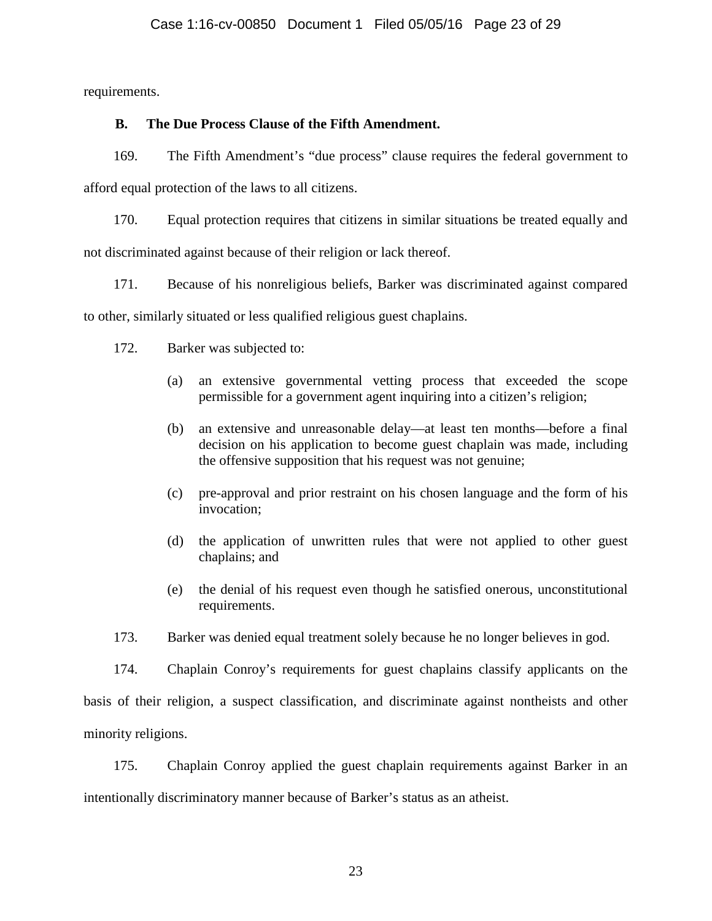requirements.

## **B. The Due Process Clause of the Fifth Amendment.**

169. The Fifth Amendment's "due process" clause requires the federal government to afford equal protection of the laws to all citizens.

170. Equal protection requires that citizens in similar situations be treated equally and not discriminated against because of their religion or lack thereof.

171. Because of his nonreligious beliefs, Barker was discriminated against compared to other, similarly situated or less qualified religious guest chaplains.

172. Barker was subjected to:

- (a) an extensive governmental vetting process that exceeded the scope permissible for a government agent inquiring into a citizen's religion;
- (b) an extensive and unreasonable delay—at least ten months—before a final decision on his application to become guest chaplain was made, including the offensive supposition that his request was not genuine;
- (c) pre-approval and prior restraint on his chosen language and the form of his invocation;
- (d) the application of unwritten rules that were not applied to other guest chaplains; and
- (e) the denial of his request even though he satisfied onerous, unconstitutional requirements.

173. Barker was denied equal treatment solely because he no longer believes in god.

174. Chaplain Conroy's requirements for guest chaplains classify applicants on the basis of their religion, a suspect classification, and discriminate against nontheists and other minority religions.

175. Chaplain Conroy applied the guest chaplain requirements against Barker in an intentionally discriminatory manner because of Barker's status as an atheist.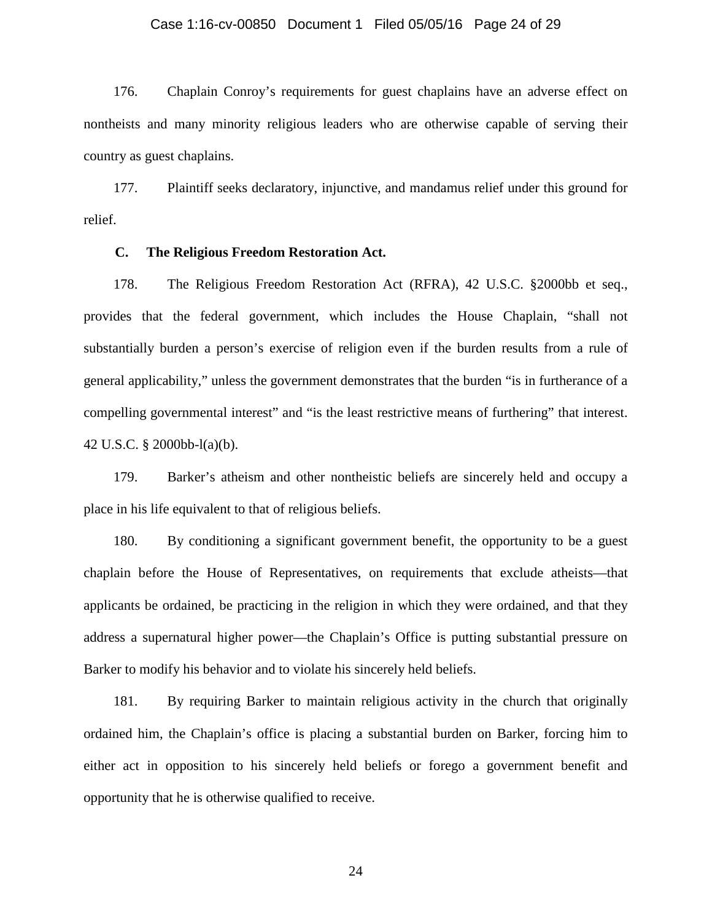#### Case 1:16-cv-00850 Document 1 Filed 05/05/16 Page 24 of 29

176. Chaplain Conroy's requirements for guest chaplains have an adverse effect on nontheists and many minority religious leaders who are otherwise capable of serving their country as guest chaplains.

177. Plaintiff seeks declaratory, injunctive, and mandamus relief under this ground for relief.

## **C. The Religious Freedom Restoration Act.**

178. The Religious Freedom Restoration Act (RFRA), 42 U.S.C. §2000bb et seq., provides that the federal government, which includes the House Chaplain, "shall not substantially burden a person's exercise of religion even if the burden results from a rule of general applicability," unless the government demonstrates that the burden "is in furtherance of a compelling governmental interest" and "is the least restrictive means of furthering" that interest. 42 U.S.C. § 2000bb-l(a)(b).

179. Barker's atheism and other nontheistic beliefs are sincerely held and occupy a place in his life equivalent to that of religious beliefs.

180. By conditioning a significant government benefit, the opportunity to be a guest chaplain before the House of Representatives, on requirements that exclude atheists—that applicants be ordained, be practicing in the religion in which they were ordained, and that they address a supernatural higher power—the Chaplain's Office is putting substantial pressure on Barker to modify his behavior and to violate his sincerely held beliefs.

181. By requiring Barker to maintain religious activity in the church that originally ordained him, the Chaplain's office is placing a substantial burden on Barker, forcing him to either act in opposition to his sincerely held beliefs or forego a government benefit and opportunity that he is otherwise qualified to receive.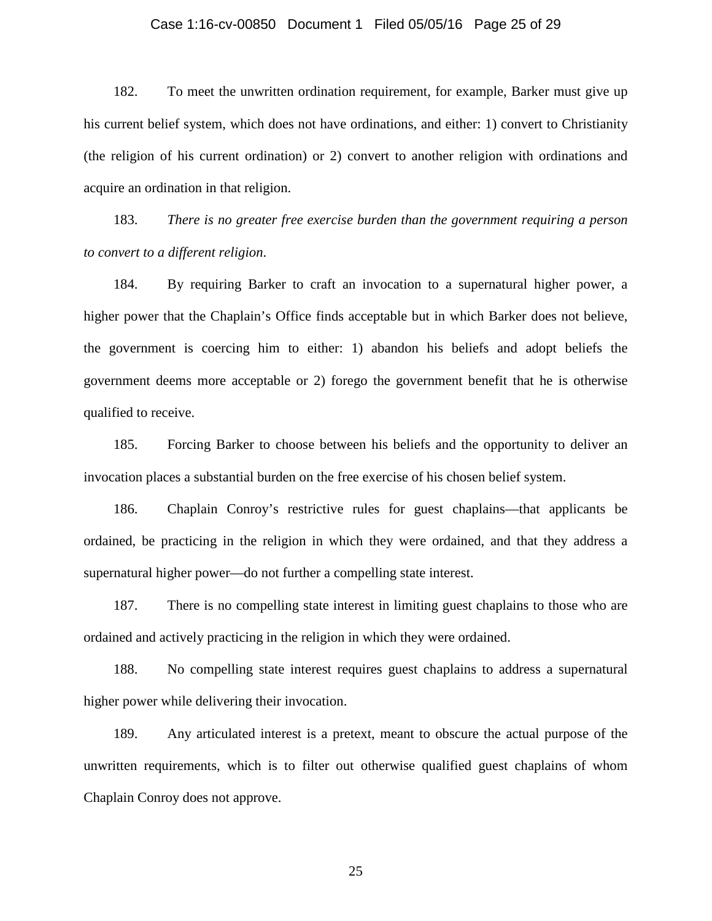#### Case 1:16-cv-00850 Document 1 Filed 05/05/16 Page 25 of 29

182. To meet the unwritten ordination requirement, for example, Barker must give up his current belief system, which does not have ordinations, and either: 1) convert to Christianity (the religion of his current ordination) or 2) convert to another religion with ordinations and acquire an ordination in that religion.

183. *There is no greater free exercise burden than the government requiring a person to convert to a different religion*.

184. By requiring Barker to craft an invocation to a supernatural higher power, a higher power that the Chaplain's Office finds acceptable but in which Barker does not believe, the government is coercing him to either: 1) abandon his beliefs and adopt beliefs the government deems more acceptable or 2) forego the government benefit that he is otherwise qualified to receive.

185. Forcing Barker to choose between his beliefs and the opportunity to deliver an invocation places a substantial burden on the free exercise of his chosen belief system.

186. Chaplain Conroy's restrictive rules for guest chaplains—that applicants be ordained, be practicing in the religion in which they were ordained, and that they address a supernatural higher power—do not further a compelling state interest.

187. There is no compelling state interest in limiting guest chaplains to those who are ordained and actively practicing in the religion in which they were ordained.

188. No compelling state interest requires guest chaplains to address a supernatural higher power while delivering their invocation.

189. Any articulated interest is a pretext, meant to obscure the actual purpose of the unwritten requirements, which is to filter out otherwise qualified guest chaplains of whom Chaplain Conroy does not approve.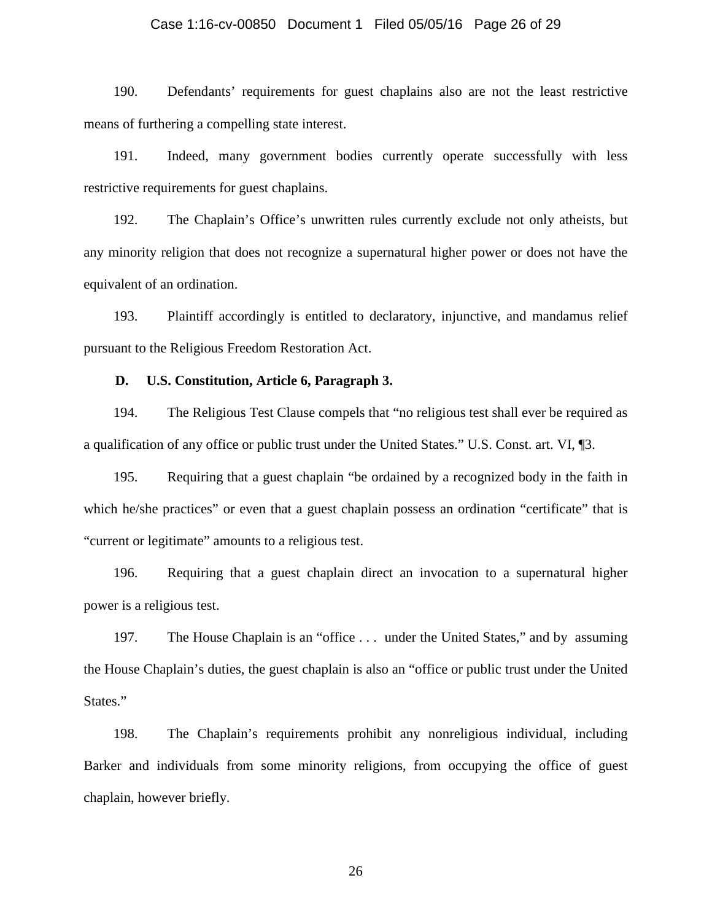#### Case 1:16-cv-00850 Document 1 Filed 05/05/16 Page 26 of 29

190. Defendants' requirements for guest chaplains also are not the least restrictive means of furthering a compelling state interest.

191. Indeed, many government bodies currently operate successfully with less restrictive requirements for guest chaplains.

192. The Chaplain's Office's unwritten rules currently exclude not only atheists, but any minority religion that does not recognize a supernatural higher power or does not have the equivalent of an ordination.

193. Plaintiff accordingly is entitled to declaratory, injunctive, and mandamus relief pursuant to the Religious Freedom Restoration Act.

## **D. U.S. Constitution, Article 6, Paragraph 3.**

194. The Religious Test Clause compels that "no religious test shall ever be required as a qualification of any office or public trust under the United States." U.S. Const. art. VI, ¶3.

195. Requiring that a guest chaplain "be ordained by a recognized body in the faith in which he/she practices" or even that a guest chaplain possess an ordination "certificate" that is "current or legitimate" amounts to a religious test.

196. Requiring that a guest chaplain direct an invocation to a supernatural higher power is a religious test.

197. The House Chaplain is an "office . . . under the United States," and by assuming the House Chaplain's duties, the guest chaplain is also an "office or public trust under the United States."

198. The Chaplain's requirements prohibit any nonreligious individual, including Barker and individuals from some minority religions, from occupying the office of guest chaplain, however briefly.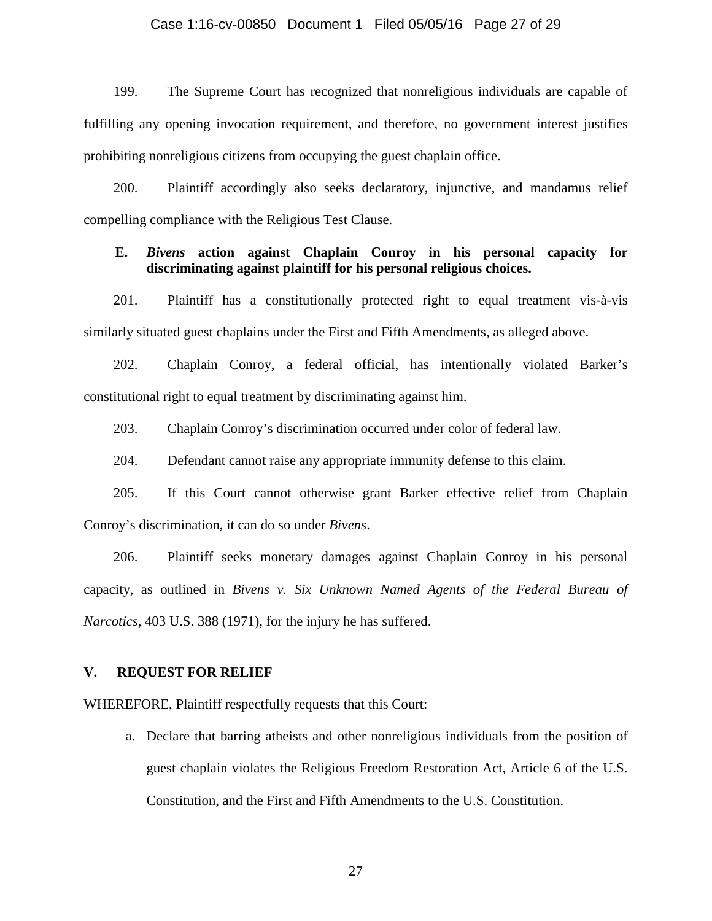#### Case 1:16-cv-00850 Document 1 Filed 05/05/16 Page 27 of 29

199. The Supreme Court has recognized that nonreligious individuals are capable of fulfilling any opening invocation requirement, and therefore, no government interest justifies prohibiting nonreligious citizens from occupying the guest chaplain office.

200. Plaintiff accordingly also seeks declaratory, injunctive, and mandamus relief compelling compliance with the Religious Test Clause.

## **E.** *Bivens* **action against Chaplain Conroy in his personal capacity for discriminating against plaintiff for his personal religious choices.**

201. Plaintiff has a constitutionally protected right to equal treatment vis-à-vis similarly situated guest chaplains under the First and Fifth Amendments, as alleged above.

202. Chaplain Conroy, a federal official, has intentionally violated Barker's constitutional right to equal treatment by discriminating against him.

203. Chaplain Conroy's discrimination occurred under color of federal law.

204. Defendant cannot raise any appropriate immunity defense to this claim.

205. If this Court cannot otherwise grant Barker effective relief from Chaplain Conroy's discrimination, it can do so under *Bivens*.

206. Plaintiff seeks monetary damages against Chaplain Conroy in his personal capacity, as outlined in *Bivens v. Six Unknown Named Agents of the Federal Bureau of Narcotics*, 403 U.S. 388 (1971), for the injury he has suffered.

## **V. REQUEST FOR RELIEF**

WHEREFORE, Plaintiff respectfully requests that this Court:

a. Declare that barring atheists and other nonreligious individuals from the position of guest chaplain violates the Religious Freedom Restoration Act, Article 6 of the U.S. Constitution, and the First and Fifth Amendments to the U.S. Constitution.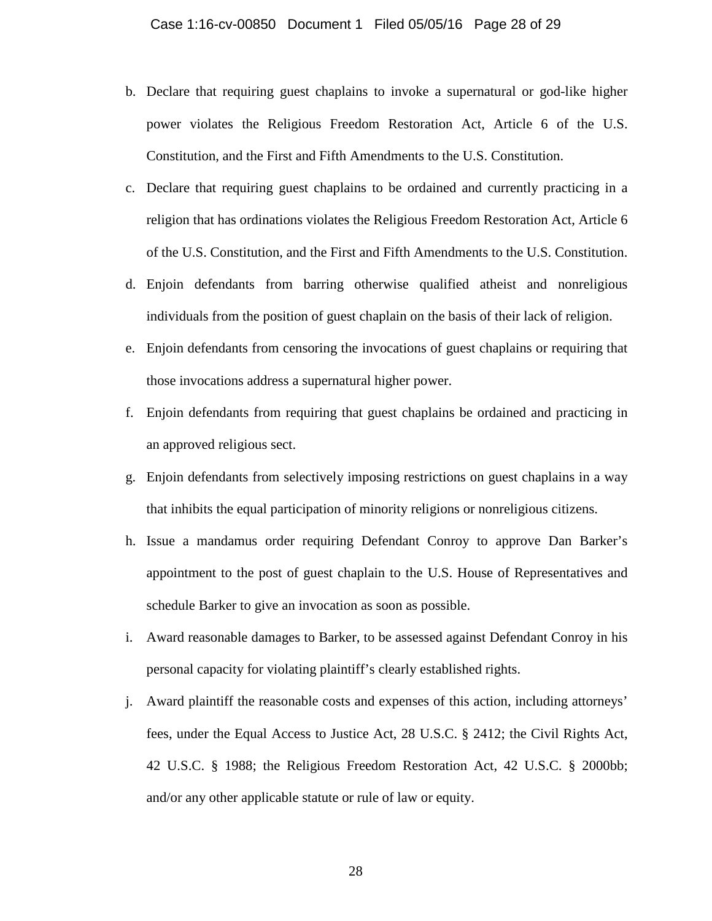- b. Declare that requiring guest chaplains to invoke a supernatural or god-like higher power violates the Religious Freedom Restoration Act, Article 6 of the U.S. Constitution, and the First and Fifth Amendments to the U.S. Constitution.
- c. Declare that requiring guest chaplains to be ordained and currently practicing in a religion that has ordinations violates the Religious Freedom Restoration Act, Article 6 of the U.S. Constitution, and the First and Fifth Amendments to the U.S. Constitution.
- d. Enjoin defendants from barring otherwise qualified atheist and nonreligious individuals from the position of guest chaplain on the basis of their lack of religion.
- e. Enjoin defendants from censoring the invocations of guest chaplains or requiring that those invocations address a supernatural higher power.
- f. Enjoin defendants from requiring that guest chaplains be ordained and practicing in an approved religious sect.
- g. Enjoin defendants from selectively imposing restrictions on guest chaplains in a way that inhibits the equal participation of minority religions or nonreligious citizens.
- h. Issue a mandamus order requiring Defendant Conroy to approve Dan Barker's appointment to the post of guest chaplain to the U.S. House of Representatives and schedule Barker to give an invocation as soon as possible.
- i. Award reasonable damages to Barker, to be assessed against Defendant Conroy in his personal capacity for violating plaintiff's clearly established rights.
- j. Award plaintiff the reasonable costs and expenses of this action, including attorneys' fees, under the Equal Access to Justice Act, 28 U.S.C. § 2412; the Civil Rights Act, 42 U.S.C. § 1988; the Religious Freedom Restoration Act, 42 U.S.C. § 2000bb; and/or any other applicable statute or rule of law or equity.